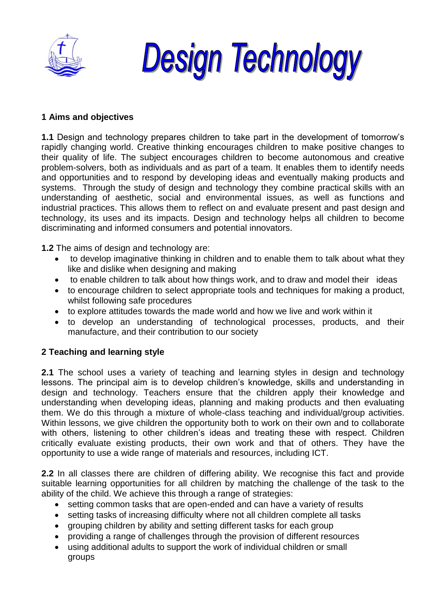



# **1 Aims and objectives**

**1.1** Design and technology prepares children to take part in the development of tomorrow's rapidly changing world. Creative thinking encourages children to make positive changes to their quality of life. The subject encourages children to become autonomous and creative problem-solvers, both as individuals and as part of a team. It enables them to identify needs and opportunities and to respond by developing ideas and eventually making products and systems. Through the study of design and technology they combine practical skills with an understanding of aesthetic, social and environmental issues, as well as functions and industrial practices. This allows them to reflect on and evaluate present and past design and technology, its uses and its impacts. Design and technology helps all children to become discriminating and informed consumers and potential innovators.

**1.2** The aims of design and technology are:

- to develop imaginative thinking in children and to enable them to talk about what they like and dislike when designing and making
- to enable children to talk about how things work, and to draw and model their ideas
- to encourage children to select appropriate tools and techniques for making a product, whilst following safe procedures
- to explore attitudes towards the made world and how we live and work within it
- to develop an understanding of technological processes, products, and their manufacture, and their contribution to our society

# **2 Teaching and learning style**

**2.1** The school uses a variety of teaching and learning styles in design and technology lessons. The principal aim is to develop children's knowledge, skills and understanding in design and technology. Teachers ensure that the children apply their knowledge and understanding when developing ideas, planning and making products and then evaluating them. We do this through a mixture of whole-class teaching and individual/group activities. Within lessons, we give children the opportunity both to work on their own and to collaborate with others, listening to other children's ideas and treating these with respect. Children critically evaluate existing products, their own work and that of others. They have the opportunity to use a wide range of materials and resources, including ICT.

**2.2** In all classes there are children of differing ability. We recognise this fact and provide suitable learning opportunities for all children by matching the challenge of the task to the ability of the child. We achieve this through a range of strategies:

- setting common tasks that are open-ended and can have a variety of results
- setting tasks of increasing difficulty where not all children complete all tasks
- grouping children by ability and setting different tasks for each group
- providing a range of challenges through the provision of different resources
- using additional adults to support the work of individual children or small groups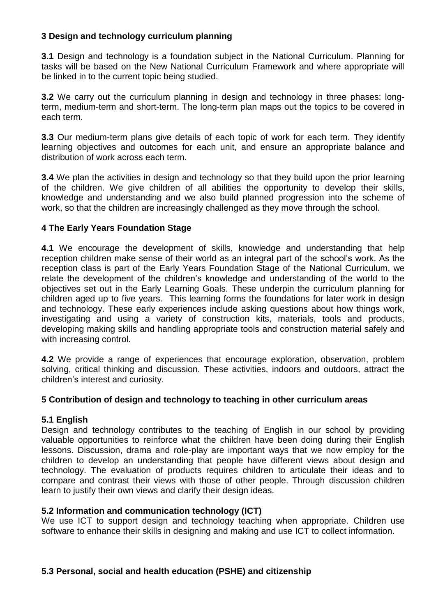# **3 Design and technology curriculum planning**

**3.1** Design and technology is a foundation subject in the National Curriculum. Planning for tasks will be based on the New National Curriculum Framework and where appropriate will be linked in to the current topic being studied.

**3.2** We carry out the curriculum planning in design and technology in three phases: longterm, medium-term and short-term. The long-term plan maps out the topics to be covered in each term.

**3.3** Our medium-term plans give details of each topic of work for each term. They identify learning objectives and outcomes for each unit, and ensure an appropriate balance and distribution of work across each term.

**3.4** We plan the activities in design and technology so that they build upon the prior learning of the children. We give children of all abilities the opportunity to develop their skills, knowledge and understanding and we also build planned progression into the scheme of work, so that the children are increasingly challenged as they move through the school.

# **4 The Early Years Foundation Stage**

**4.1** We encourage the development of skills, knowledge and understanding that help reception children make sense of their world as an integral part of the school's work. As the reception class is part of the Early Years Foundation Stage of the National Curriculum, we relate the development of the children's knowledge and understanding of the world to the objectives set out in the Early Learning Goals. These underpin the curriculum planning for children aged up to five years. This learning forms the foundations for later work in design and technology. These early experiences include asking questions about how things work, investigating and using a variety of construction kits, materials, tools and products, developing making skills and handling appropriate tools and construction material safely and with increasing control.

**4.2** We provide a range of experiences that encourage exploration, observation, problem solving, critical thinking and discussion. These activities, indoors and outdoors, attract the children's interest and curiosity.

### **5 Contribution of design and technology to teaching in other curriculum areas**

### **5.1 English**

Design and technology contributes to the teaching of English in our school by providing valuable opportunities to reinforce what the children have been doing during their English lessons. Discussion, drama and role-play are important ways that we now employ for the children to develop an understanding that people have different views about design and technology. The evaluation of products requires children to articulate their ideas and to compare and contrast their views with those of other people. Through discussion children learn to justify their own views and clarify their design ideas.

### **5.2 Information and communication technology (ICT)**

We use ICT to support design and technology teaching when appropriate. Children use software to enhance their skills in designing and making and use ICT to collect information.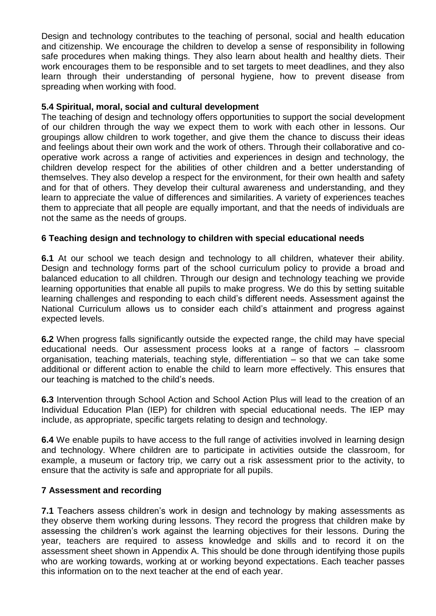Design and technology contributes to the teaching of personal, social and health education and citizenship. We encourage the children to develop a sense of responsibility in following safe procedures when making things. They also learn about health and healthy diets. Their work encourages them to be responsible and to set targets to meet deadlines, and they also learn through their understanding of personal hygiene, how to prevent disease from spreading when working with food.

## **5.4 Spiritual, moral, social and cultural development**

The teaching of design and technology offers opportunities to support the social development of our children through the way we expect them to work with each other in lessons. Our groupings allow children to work together, and give them the chance to discuss their ideas and feelings about their own work and the work of others. Through their collaborative and cooperative work across a range of activities and experiences in design and technology, the children develop respect for the abilities of other children and a better understanding of themselves. They also develop a respect for the environment, for their own health and safety and for that of others. They develop their cultural awareness and understanding, and they learn to appreciate the value of differences and similarities. A variety of experiences teaches them to appreciate that all people are equally important, and that the needs of individuals are not the same as the needs of groups.

# **6 Teaching design and technology to children with special educational needs**

**6.1** At our school we teach design and technology to all children, whatever their ability. Design and technology forms part of the school curriculum policy to provide a broad and balanced education to all children. Through our design and technology teaching we provide learning opportunities that enable all pupils to make progress. We do this by setting suitable learning challenges and responding to each child's different needs. Assessment against the National Curriculum allows us to consider each child's attainment and progress against expected levels.

**6.2** When progress falls significantly outside the expected range, the child may have special educational needs. Our assessment process looks at a range of factors – classroom organisation, teaching materials, teaching style, differentiation – so that we can take some additional or different action to enable the child to learn more effectively. This ensures that our teaching is matched to the child's needs.

**6.3** Intervention through School Action and School Action Plus will lead to the creation of an Individual Education Plan (IEP) for children with special educational needs. The IEP may include, as appropriate, specific targets relating to design and technology.

**6.4** We enable pupils to have access to the full range of activities involved in learning design and technology. Where children are to participate in activities outside the classroom, for example, a museum or factory trip, we carry out a risk assessment prior to the activity, to ensure that the activity is safe and appropriate for all pupils.

### **7 Assessment and recording**

**7.1** Teachers assess children's work in design and technology by making assessments as they observe them working during lessons. They record the progress that children make by assessing the children's work against the learning objectives for their lessons. During the year, teachers are required to assess knowledge and skills and to record it on the assessment sheet shown in Appendix A. This should be done through identifying those pupils who are working towards, working at or working beyond expectations. Each teacher passes this information on to the next teacher at the end of each year.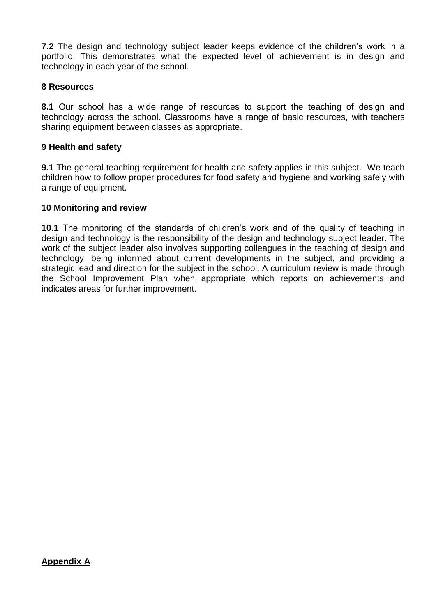**7.2** The design and technology subject leader keeps evidence of the children's work in a portfolio. This demonstrates what the expected level of achievement is in design and technology in each year of the school.

## **8 Resources**

**8.1** Our school has a wide range of resources to support the teaching of design and technology across the school. Classrooms have a range of basic resources, with teachers sharing equipment between classes as appropriate.

# **9 Health and safety**

**9.1** The general teaching requirement for health and safety applies in this subject. We teach children how to follow proper procedures for food safety and hygiene and working safely with a range of equipment.

# **10 Monitoring and review**

**10.1** The monitoring of the standards of children's work and of the quality of teaching in design and technology is the responsibility of the design and technology subject leader. The work of the subject leader also involves supporting colleagues in the teaching of design and technology, being informed about current developments in the subject, and providing a strategic lead and direction for the subject in the school. A curriculum review is made through the School Improvement Plan when appropriate which reports on achievements and indicates areas for further improvement.